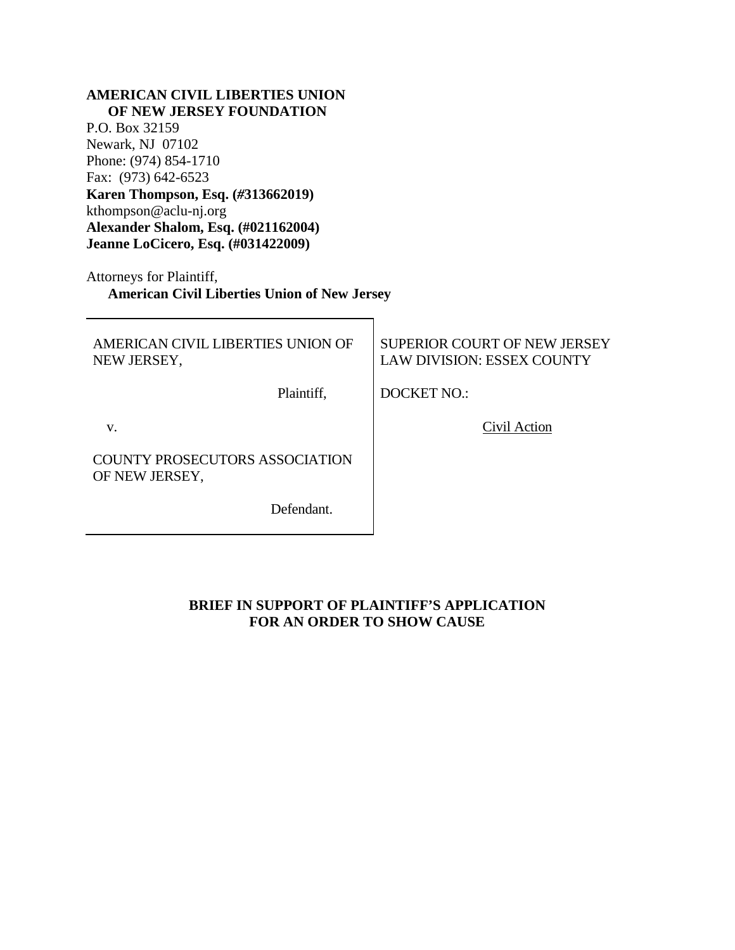### **AMERICAN CIVIL LIBERTIES UNION OF NEW JERSEY FOUNDATION**

P.O. Box 32159 Newark, NJ 07102 Phone: (974) 854-1710 Fax: (973) 642-6523 **Karen Thompson, Esq. (***#***313662019)** kthompson@aclu-nj.org **Alexander Shalom, Esq. (#021162004) Jeanne LoCicero, Esq. (#031422009)**

Attorneys for Plaintiff, **American Civil Liberties Union of New Jersey**

AMERICAN CIVIL LIBERTIES UNION OF NEW JERSEY,

Plaintiff,

SUPERIOR COURT OF NEW JERSEY LAW DIVISION: ESSEX COUNTY

DOCKET NO.:

v.

COUNTY PROSECUTORS ASSOCIATION OF NEW JERSEY,

Defendant.

## Civil Action

**BRIEF IN SUPPORT OF PLAINTIFF'S APPLICATION FOR AN ORDER TO SHOW CAUSE**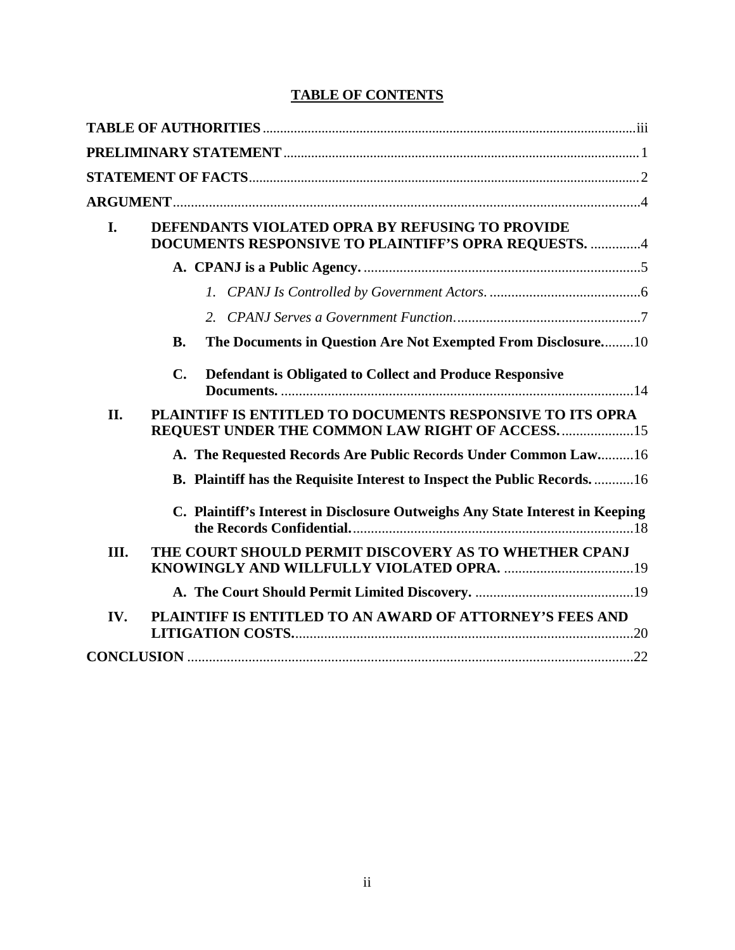# **TABLE OF CONTENTS**

| I.   | DEFENDANTS VIOLATED OPRA BY REFUSING TO PROVIDE<br>DOCUMENTS RESPONSIVE TO PLAINTIFF'S OPRA REQUESTS. 4       |
|------|---------------------------------------------------------------------------------------------------------------|
|      |                                                                                                               |
|      |                                                                                                               |
|      |                                                                                                               |
|      | The Documents in Question Are Not Exempted From Disclosure10<br><b>B.</b>                                     |
|      | $\mathbf{C}$ .<br>Defendant is Obligated to Collect and Produce Responsive                                    |
| II.  | PLAINTIFF IS ENTITLED TO DOCUMENTS RESPONSIVE TO ITS OPRA<br>REQUEST UNDER THE COMMON LAW RIGHT OF ACCESS. 15 |
|      | A. The Requested Records Are Public Records Under Common Law 16                                               |
|      | B. Plaintiff has the Requisite Interest to Inspect the Public Records16                                       |
|      | C. Plaintiff's Interest in Disclosure Outweighs Any State Interest in Keeping                                 |
| III. | THE COURT SHOULD PERMIT DISCOVERY AS TO WHETHER CPANJ                                                         |
|      |                                                                                                               |
| IV.  | PLAINTIFF IS ENTITLED TO AN AWARD OF ATTORNEY'S FEES AND                                                      |
|      |                                                                                                               |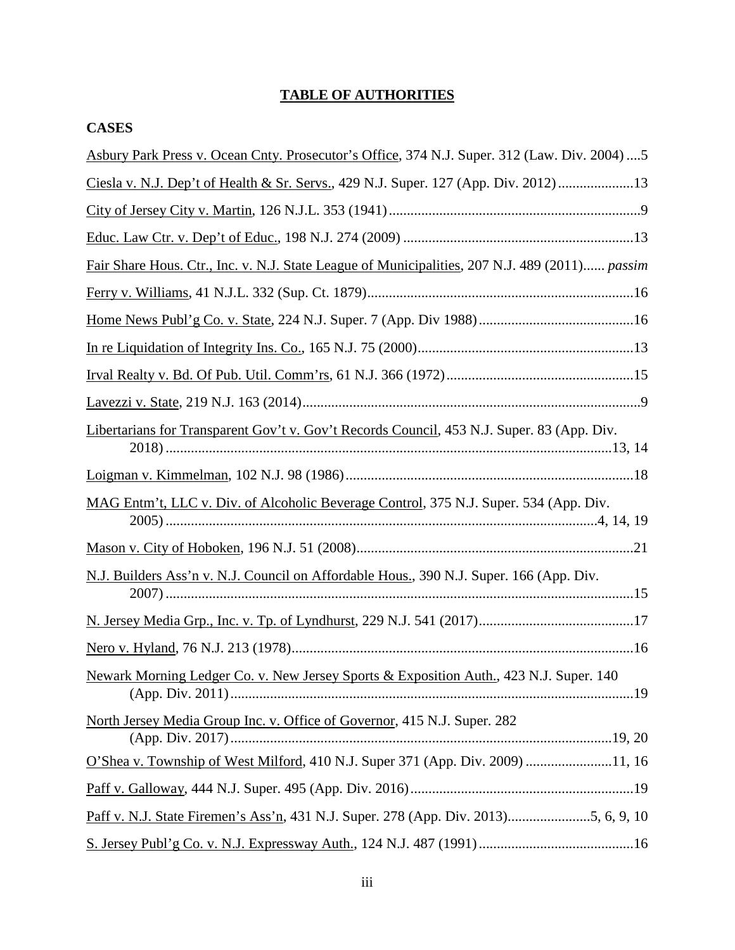# **TABLE OF AUTHORITIES**

# **CASES**

| Asbury Park Press v. Ocean Cnty. Prosecutor's Office, 374 N.J. Super. 312 (Law. Div. 2004)  5  |
|------------------------------------------------------------------------------------------------|
| Ciesla v. N.J. Dep't of Health & Sr. Servs., 429 N.J. Super. 127 (App. Div. 2012) 13           |
|                                                                                                |
|                                                                                                |
| Fair Share Hous. Ctr., Inc. v. N.J. State League of Municipalities, 207 N.J. 489 (2011) passim |
|                                                                                                |
|                                                                                                |
|                                                                                                |
|                                                                                                |
|                                                                                                |
| Libertarians for Transparent Gov't v. Gov't Records Council, 453 N.J. Super. 83 (App. Div.     |
|                                                                                                |
| MAG Entm't, LLC v. Div. of Alcoholic Beverage Control, 375 N.J. Super. 534 (App. Div.          |
|                                                                                                |
| N.J. Builders Ass'n v. N.J. Council on Affordable Hous., 390 N.J. Super. 166 (App. Div.        |
|                                                                                                |
|                                                                                                |
| Newark Morning Ledger Co. v. New Jersey Sports & Exposition Auth., 423 N.J. Super. 140         |
| North Jersey Media Group Inc. v. Office of Governor, 415 N.J. Super. 282                       |
| O'Shea v. Township of West Milford, 410 N.J. Super 371 (App. Div. 2009) 11, 16                 |
|                                                                                                |
| Paff v. N.J. State Firemen's Ass'n, 431 N.J. Super. 278 (App. Div. 2013)5, 6, 9, 10            |
|                                                                                                |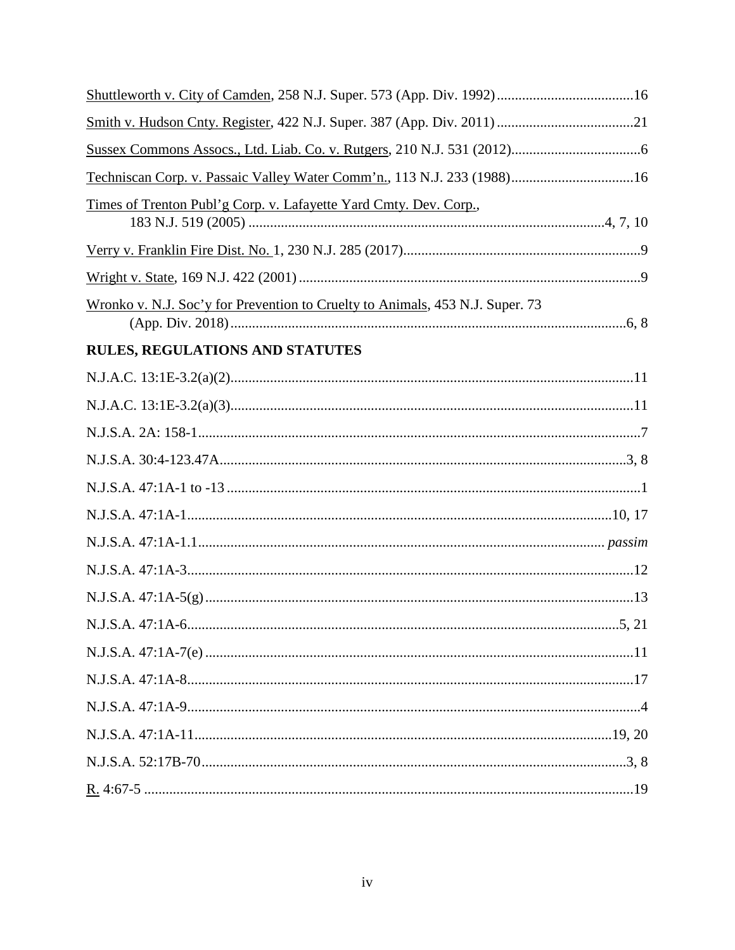| Techniscan Corp. v. Passaic Valley Water Comm'n., 113 N.J. 233 (1988) 16      |  |
|-------------------------------------------------------------------------------|--|
| Times of Trenton Publ'g Corp. v. Lafayette Yard Cmty. Dev. Corp.,             |  |
|                                                                               |  |
|                                                                               |  |
| Wronko v. N.J. Soc'y for Prevention to Cruelty to Animals, 453 N.J. Super. 73 |  |
| <b>RULES, REGULATIONS AND STATUTES</b>                                        |  |
|                                                                               |  |
|                                                                               |  |
|                                                                               |  |
|                                                                               |  |
|                                                                               |  |
|                                                                               |  |
|                                                                               |  |
|                                                                               |  |
|                                                                               |  |
|                                                                               |  |
|                                                                               |  |
|                                                                               |  |
|                                                                               |  |
|                                                                               |  |
|                                                                               |  |
|                                                                               |  |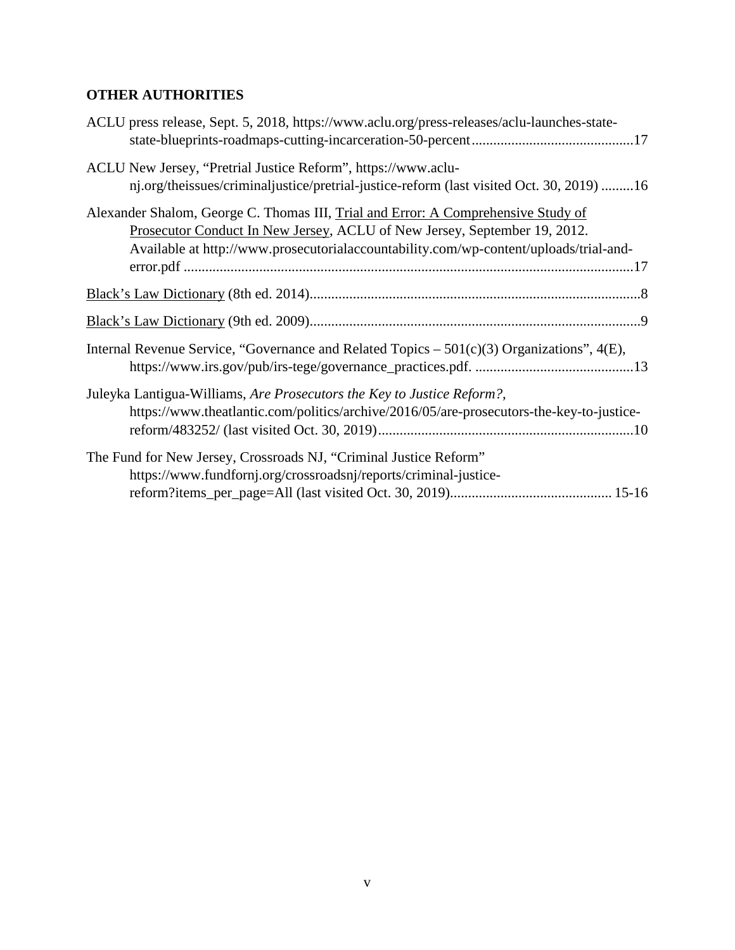# **OTHER AUTHORITIES**

| ACLU press release, Sept. 5, 2018, https://www.aclu.org/press-releases/aclu-launches-state-                                                                                                                                                             |
|---------------------------------------------------------------------------------------------------------------------------------------------------------------------------------------------------------------------------------------------------------|
| ACLU New Jersey, "Pretrial Justice Reform", https://www.aclu-<br>nj.org/theissues/criminaljustice/pretrial-justice-reform (last visited Oct. 30, 2019) 16                                                                                               |
| Alexander Shalom, George C. Thomas III, Trial and Error: A Comprehensive Study of<br>Prosecutor Conduct In New Jersey, ACLU of New Jersey, September 19, 2012.<br>Available at http://www.prosecutorialaccountability.com/wp-content/uploads/trial-and- |
|                                                                                                                                                                                                                                                         |
|                                                                                                                                                                                                                                                         |
| Internal Revenue Service, "Governance and Related Topics $-501(c)(3)$ Organizations", $4(E)$ ,                                                                                                                                                          |
| Juleyka Lantigua-Williams, Are Prosecutors the Key to Justice Reform?,<br>https://www.theatlantic.com/politics/archive/2016/05/are-prosecutors-the-key-to-justice-                                                                                      |
| The Fund for New Jersey, Crossroads NJ, "Criminal Justice Reform"<br>https://www.fundfornj.org/crossroadsnj/reports/criminal-justice-                                                                                                                   |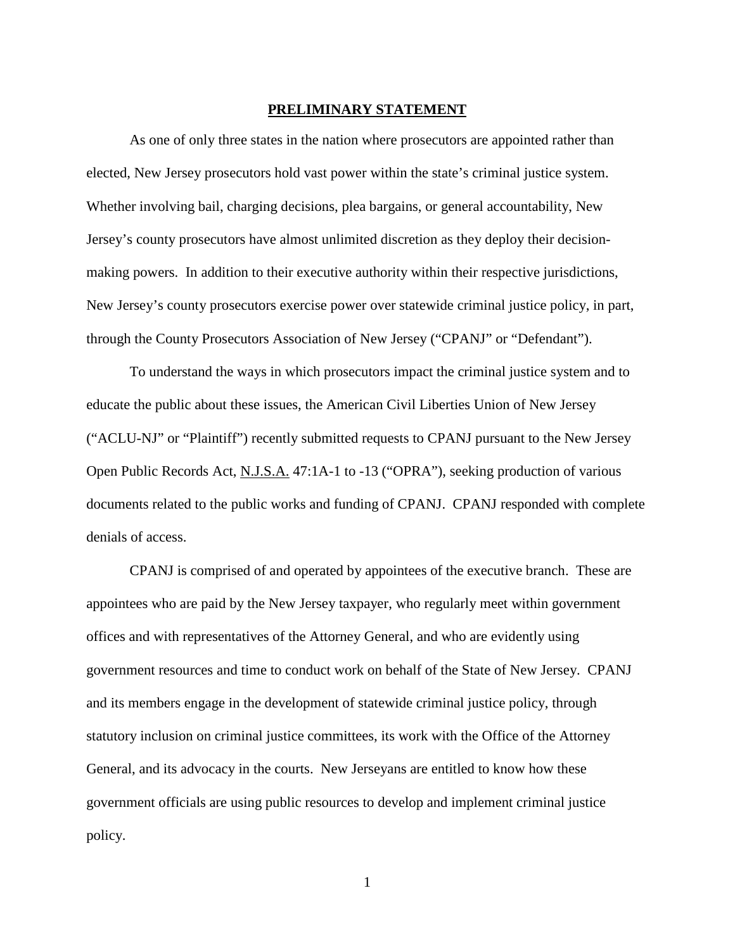#### **PRELIMINARY STATEMENT**

As one of only three states in the nation where prosecutors are appointed rather than elected, New Jersey prosecutors hold vast power within the state's criminal justice system. Whether involving bail, charging decisions, plea bargains, or general accountability, New Jersey's county prosecutors have almost unlimited discretion as they deploy their decisionmaking powers. In addition to their executive authority within their respective jurisdictions, New Jersey's county prosecutors exercise power over statewide criminal justice policy, in part, through the County Prosecutors Association of New Jersey ("CPANJ" or "Defendant").

To understand the ways in which prosecutors impact the criminal justice system and to educate the public about these issues, the American Civil Liberties Union of New Jersey ("ACLU-NJ" or "Plaintiff") recently submitted requests to CPANJ pursuant to the New Jersey Open Public Records Act, N.J.S.A. 47:1A-1 to -13 ("OPRA"), seeking production of various documents related to the public works and funding of CPANJ. CPANJ responded with complete denials of access.

CPANJ is comprised of and operated by appointees of the executive branch. These are appointees who are paid by the New Jersey taxpayer, who regularly meet within government offices and with representatives of the Attorney General, and who are evidently using government resources and time to conduct work on behalf of the State of New Jersey. CPANJ and its members engage in the development of statewide criminal justice policy, through statutory inclusion on criminal justice committees, its work with the Office of the Attorney General, and its advocacy in the courts. New Jerseyans are entitled to know how these government officials are using public resources to develop and implement criminal justice policy.

1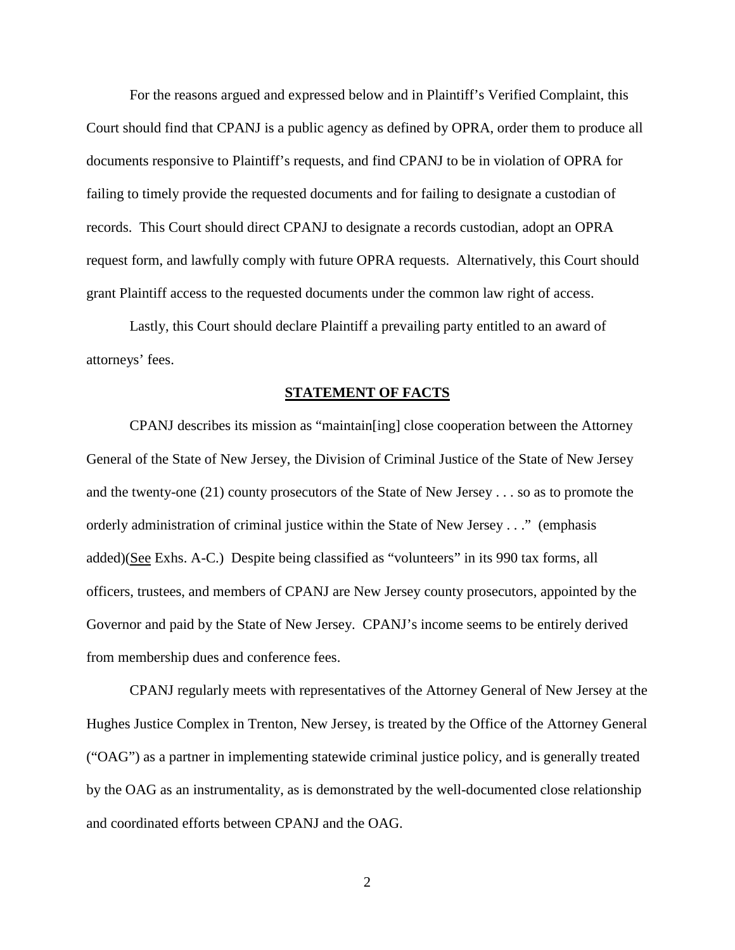For the reasons argued and expressed below and in Plaintiff's Verified Complaint, this Court should find that CPANJ is a public agency as defined by OPRA, order them to produce all documents responsive to Plaintiff's requests, and find CPANJ to be in violation of OPRA for failing to timely provide the requested documents and for failing to designate a custodian of records. This Court should direct CPANJ to designate a records custodian, adopt an OPRA request form, and lawfully comply with future OPRA requests. Alternatively, this Court should grant Plaintiff access to the requested documents under the common law right of access.

Lastly, this Court should declare Plaintiff a prevailing party entitled to an award of attorneys' fees.

#### **STATEMENT OF FACTS**

CPANJ describes its mission as "maintain[ing] close cooperation between the Attorney General of the State of New Jersey, the Division of Criminal Justice of the State of New Jersey and the twenty-one (21) county prosecutors of the State of New Jersey . . . so as to promote the orderly administration of criminal justice within the State of New Jersey . . ." (emphasis added)(See Exhs. A-C.) Despite being classified as "volunteers" in its 990 tax forms, all officers, trustees, and members of CPANJ are New Jersey county prosecutors, appointed by the Governor and paid by the State of New Jersey. CPANJ's income seems to be entirely derived from membership dues and conference fees.

CPANJ regularly meets with representatives of the Attorney General of New Jersey at the Hughes Justice Complex in Trenton, New Jersey, is treated by the Office of the Attorney General ("OAG") as a partner in implementing statewide criminal justice policy, and is generally treated by the OAG as an instrumentality, as is demonstrated by the well-documented close relationship and coordinated efforts between CPANJ and the OAG.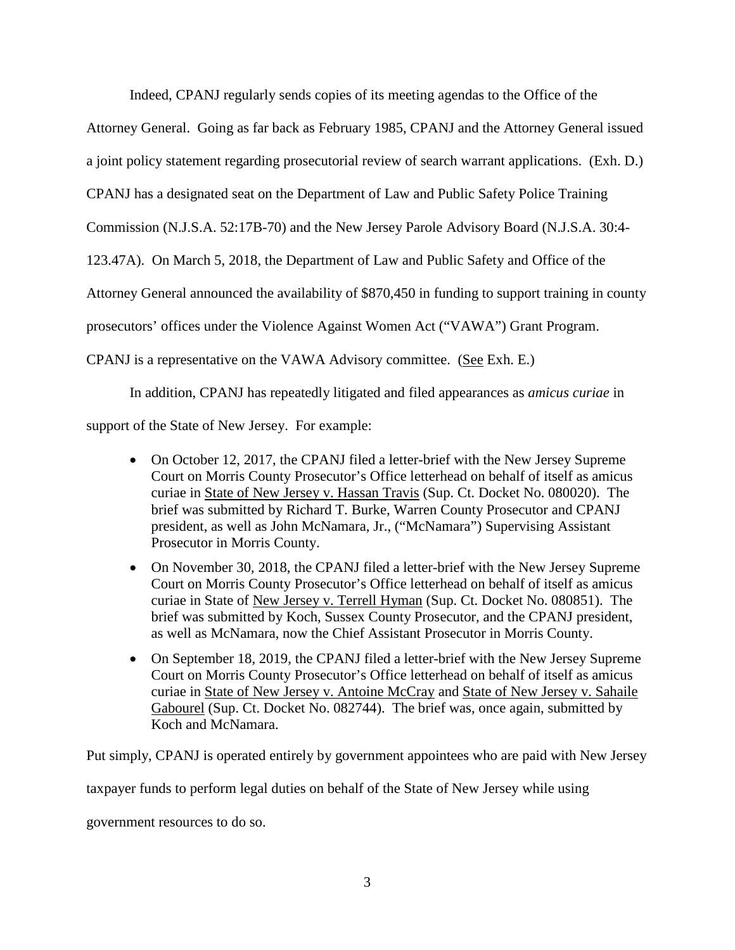Indeed, CPANJ regularly sends copies of its meeting agendas to the Office of the

Attorney General. Going as far back as February 1985, CPANJ and the Attorney General issued

a joint policy statement regarding prosecutorial review of search warrant applications. (Exh. D.)

CPANJ has a designated seat on the Department of Law and Public Safety Police Training

Commission (N.J.S.A. 52:17B-70) and the New Jersey Parole Advisory Board (N.J.S.A. 30:4-

123.47A). On March 5, 2018, the Department of Law and Public Safety and Office of the

Attorney General announced the availability of \$870,450 in funding to support training in county

prosecutors' offices under the Violence Against Women Act ("VAWA") Grant Program.

CPANJ is a representative on the VAWA Advisory committee. (See Exh. E.)

In addition, CPANJ has repeatedly litigated and filed appearances as *amicus curiae* in

support of the State of New Jersey. For example:

- On October 12, 2017, the CPANJ filed a letter-brief with the New Jersey Supreme Court on Morris County Prosecutor's Office letterhead on behalf of itself as amicus curiae in State of New Jersey v. Hassan Travis (Sup. Ct. Docket No. 080020). The brief was submitted by Richard T. Burke, Warren County Prosecutor and CPANJ president, as well as John McNamara, Jr., ("McNamara") Supervising Assistant Prosecutor in Morris County.
- On November 30, 2018, the CPANJ filed a letter-brief with the New Jersey Supreme Court on Morris County Prosecutor's Office letterhead on behalf of itself as amicus curiae in State of New Jersey v. Terrell Hyman (Sup. Ct. Docket No. 080851). The brief was submitted by Koch, Sussex County Prosecutor, and the CPANJ president, as well as McNamara, now the Chief Assistant Prosecutor in Morris County.
- On September 18, 2019, the CPANJ filed a letter-brief with the New Jersey Supreme Court on Morris County Prosecutor's Office letterhead on behalf of itself as amicus curiae in State of New Jersey v. Antoine McCray and State of New Jersey v. Sahaile Gabourel (Sup. Ct. Docket No. 082744). The brief was, once again, submitted by Koch and McNamara.

Put simply, CPANJ is operated entirely by government appointees who are paid with New Jersey

taxpayer funds to perform legal duties on behalf of the State of New Jersey while using

government resources to do so.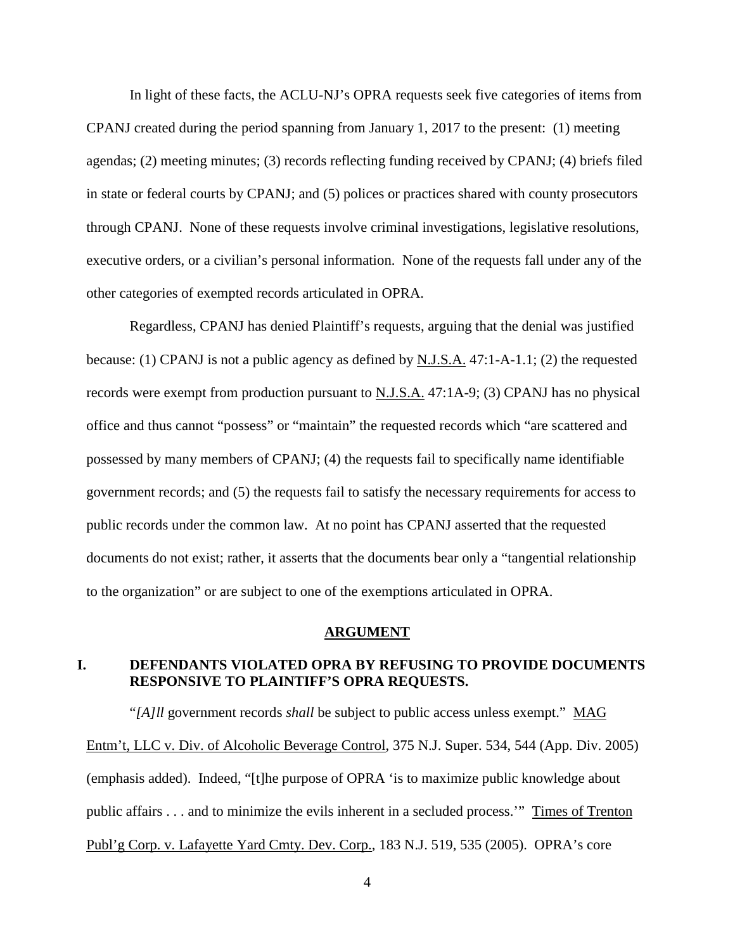In light of these facts, the ACLU-NJ's OPRA requests seek five categories of items from CPANJ created during the period spanning from January 1, 2017 to the present: (1) meeting agendas; (2) meeting minutes; (3) records reflecting funding received by CPANJ; (4) briefs filed in state or federal courts by CPANJ; and (5) polices or practices shared with county prosecutors through CPANJ. None of these requests involve criminal investigations, legislative resolutions, executive orders, or a civilian's personal information. None of the requests fall under any of the other categories of exempted records articulated in OPRA.

Regardless, CPANJ has denied Plaintiff's requests, arguing that the denial was justified because: (1) CPANJ is not a public agency as defined by N.J.S.A. 47:1-A-1.1; (2) the requested records were exempt from production pursuant to  $N.J.S.A.$  47:1A-9; (3) CPANJ has no physical office and thus cannot "possess" or "maintain" the requested records which "are scattered and possessed by many members of CPANJ; (4) the requests fail to specifically name identifiable government records; and (5) the requests fail to satisfy the necessary requirements for access to public records under the common law. At no point has CPANJ asserted that the requested documents do not exist; rather, it asserts that the documents bear only a "tangential relationship to the organization" or are subject to one of the exemptions articulated in OPRA.

### **ARGUMENT**

## **I. DEFENDANTS VIOLATED OPRA BY REFUSING TO PROVIDE DOCUMENTS RESPONSIVE TO PLAINTIFF'S OPRA REQUESTS.**

"*[A]ll* government records *shall* be subject to public access unless exempt." MAG Entm't, LLC v. Div. of Alcoholic Beverage Control, 375 N.J. Super. 534, 544 (App. Div. 2005) (emphasis added). Indeed, "[t]he purpose of OPRA 'is to maximize public knowledge about public affairs . . . and to minimize the evils inherent in a secluded process.'" Times of Trenton Publ'g Corp. v. Lafayette Yard Cmty. Dev. Corp., 183 N.J. 519, 535 (2005). OPRA's core

4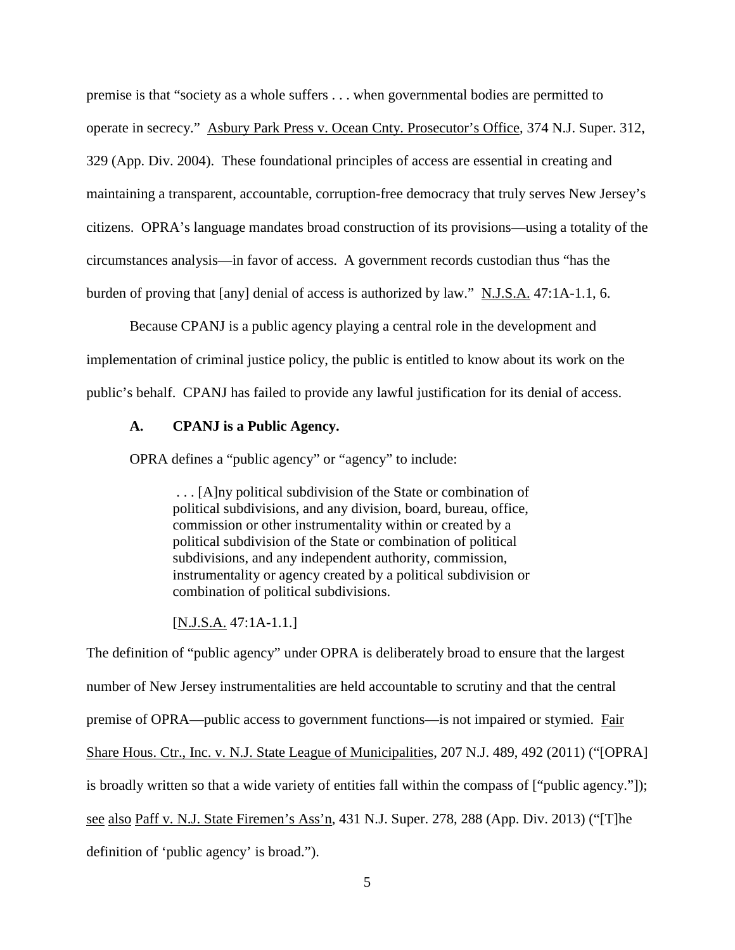premise is that "society as a whole suffers . . . when governmental bodies are permitted to operate in secrecy." Asbury Park Press v. Ocean Cnty. Prosecutor's Office, 374 N.J. Super. 312, 329 (App. Div. 2004). These foundational principles of access are essential in creating and maintaining a transparent, accountable, corruption-free democracy that truly serves New Jersey's citizens. OPRA's language mandates broad construction of its provisions—using a totality of the circumstances analysis—in favor of access. A government records custodian thus "has the burden of proving that [any] denial of access is authorized by law." N.J.S.A. 47:1A-1.1, 6.

Because CPANJ is a public agency playing a central role in the development and implementation of criminal justice policy, the public is entitled to know about its work on the public's behalf. CPANJ has failed to provide any lawful justification for its denial of access.

### **A. CPANJ is a Public Agency.**

OPRA defines a "public agency" or "agency" to include:

. . . [A]ny political subdivision of the State or combination of political subdivisions, and any division, board, bureau, office, commission or other instrumentality within or created by a political subdivision of the State or combination of political subdivisions, and any independent authority, commission, instrumentality or agency created by a political subdivision or combination of political subdivisions.

## [N.J.S.A. 47:1A-1.1.]

The definition of "public agency" under OPRA is deliberately broad to ensure that the largest number of New Jersey instrumentalities are held accountable to scrutiny and that the central premise of OPRA—public access to government functions—is not impaired or stymied. Fair Share Hous. Ctr., Inc. v. N.J. State League of Municipalities, 207 N.J. 489, 492 (2011) ("[OPRA] is broadly written so that a wide variety of entities fall within the compass of ["public agency."]); see also Paff v. N.J. State Firemen's Ass'n, 431 N.J. Super. 278, 288 (App. Div. 2013) ("[T]he definition of 'public agency' is broad.").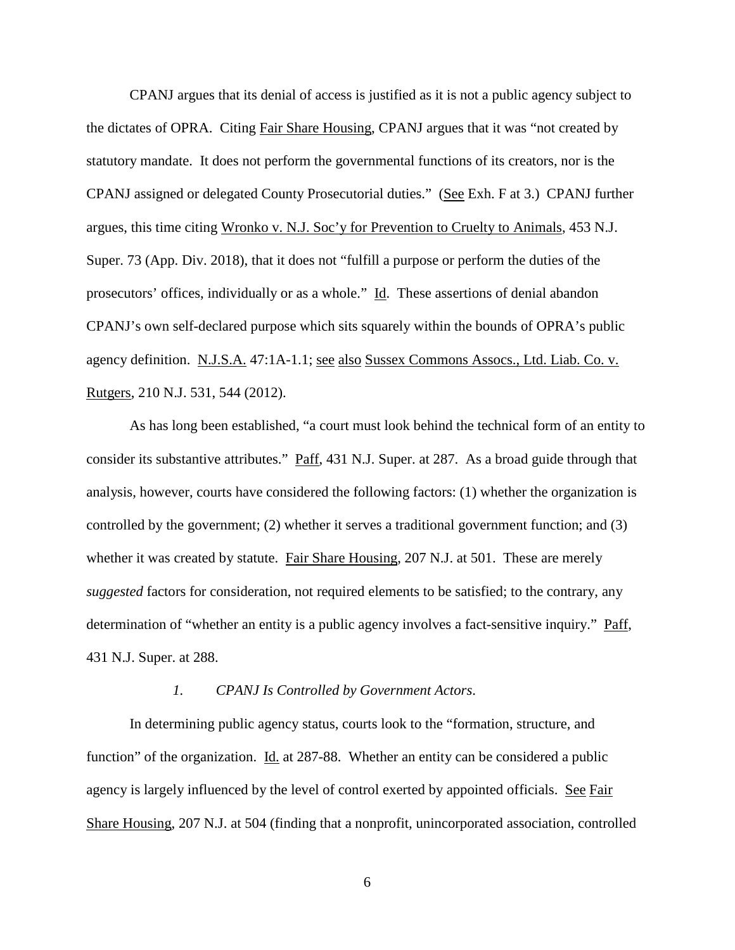CPANJ argues that its denial of access is justified as it is not a public agency subject to the dictates of OPRA. Citing Fair Share Housing, CPANJ argues that it was "not created by statutory mandate. It does not perform the governmental functions of its creators, nor is the CPANJ assigned or delegated County Prosecutorial duties." (See Exh. F at 3.) CPANJ further argues, this time citing Wronko v. N.J. Soc'y for Prevention to Cruelty to Animals, 453 N.J. Super. 73 (App. Div. 2018), that it does not "fulfill a purpose or perform the duties of the prosecutors' offices, individually or as a whole." Id. These assertions of denial abandon CPANJ's own self-declared purpose which sits squarely within the bounds of OPRA's public agency definition. N.J.S.A. 47:1A-1.1; see also Sussex Commons Assocs., Ltd. Liab. Co. v. Rutgers, 210 N.J. 531, 544 (2012).

As has long been established, "a court must look behind the technical form of an entity to consider its substantive attributes." Paff, 431 N.J. Super. at 287. As a broad guide through that analysis, however, courts have considered the following factors: (1) whether the organization is controlled by the government; (2) whether it serves a traditional government function; and (3) whether it was created by statute. Fair Share Housing, 207 N.J. at 501. These are merely *suggested* factors for consideration, not required elements to be satisfied; to the contrary, any determination of "whether an entity is a public agency involves a fact-sensitive inquiry." Paff, 431 N.J. Super. at 288.

#### *1. CPANJ Is Controlled by Government Actors*.

In determining public agency status, courts look to the "formation, structure, and function" of the organization. Id. at 287-88. Whether an entity can be considered a public agency is largely influenced by the level of control exerted by appointed officials. See Fair Share Housing, 207 N.J. at 504 (finding that a nonprofit, unincorporated association, controlled

6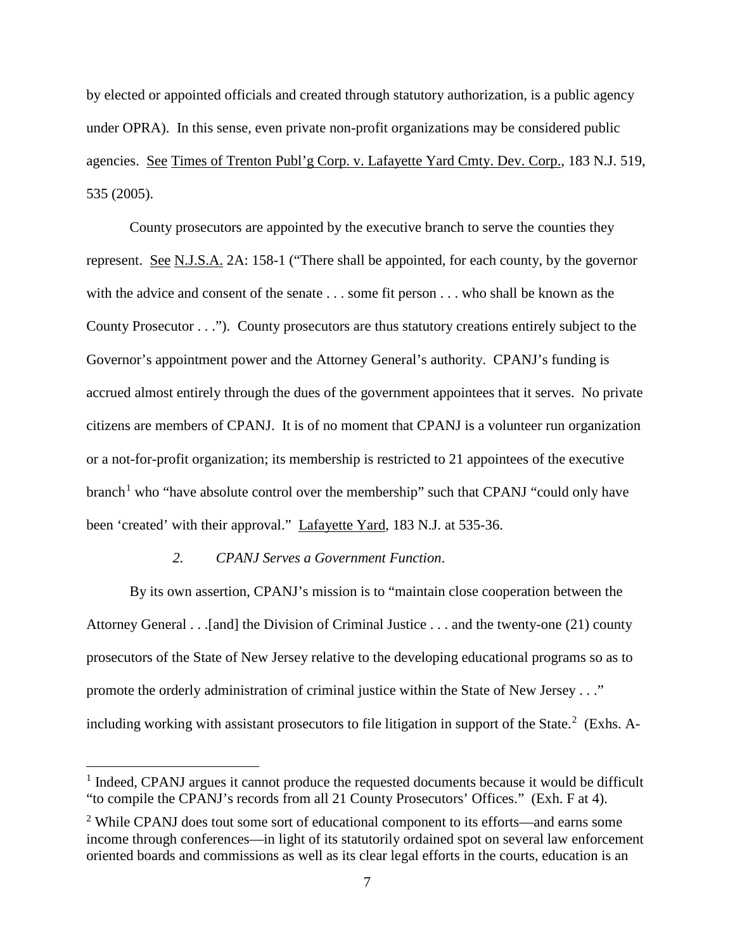by elected or appointed officials and created through statutory authorization, is a public agency under OPRA). In this sense, even private non-profit organizations may be considered public agencies. See Times of Trenton Publ'g Corp. v. Lafayette Yard Cmty. Dev. Corp., 183 N.J. 519, 535 (2005).

County prosecutors are appointed by the executive branch to serve the counties they represent. See N.J.S.A. 2A: 158-1 ("There shall be appointed, for each county, by the governor with the advice and consent of the senate . . . some fit person . . . who shall be known as the County Prosecutor . . ."). County prosecutors are thus statutory creations entirely subject to the Governor's appointment power and the Attorney General's authority. CPANJ's funding is accrued almost entirely through the dues of the government appointees that it serves. No private citizens are members of CPANJ. It is of no moment that CPANJ is a volunteer run organization or a not-for-profit organization; its membership is restricted to 21 appointees of the executive  $branch<sup>1</sup>$  $branch<sup>1</sup>$  $branch<sup>1</sup>$  who "have absolute control over the membership" such that CPANJ "could only have been 'created' with their approval." Lafayette Yard, 183 N.J. at 535-36.

### *2. CPANJ Serves a Government Function*.

By its own assertion, CPANJ's mission is to "maintain close cooperation between the Attorney General . . .[and] the Division of Criminal Justice . . . and the twenty-one (21) county prosecutors of the State of New Jersey relative to the developing educational programs so as to promote the orderly administration of criminal justice within the State of New Jersey . . ." including working with assistant prosecutors to file litigation in support of the State. $2$  (Exhs. A-

<span id="page-11-0"></span><sup>&</sup>lt;sup>1</sup> Indeed, CPANJ argues it cannot produce the requested documents because it would be difficult "to compile the CPANJ's records from all 21 County Prosecutors' Offices." (Exh. F at 4).

<span id="page-11-1"></span><sup>&</sup>lt;sup>2</sup> While CPANJ does tout some sort of educational component to its efforts—and earns some income through conferences—in light of its statutorily ordained spot on several law enforcement oriented boards and commissions as well as its clear legal efforts in the courts, education is an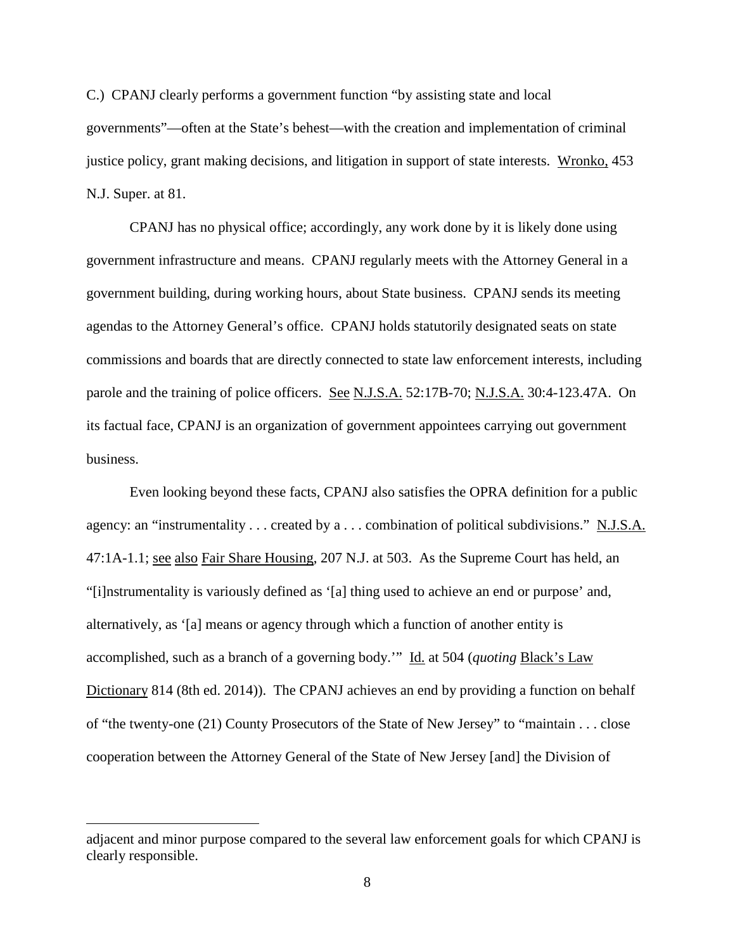C.) CPANJ clearly performs a government function "by assisting state and local governments"—often at the State's behest—with the creation and implementation of criminal justice policy, grant making decisions, and litigation in support of state interests. Wronko, 453 N.J. Super. at 81.

CPANJ has no physical office; accordingly, any work done by it is likely done using government infrastructure and means. CPANJ regularly meets with the Attorney General in a government building, during working hours, about State business. CPANJ sends its meeting agendas to the Attorney General's office. CPANJ holds statutorily designated seats on state commissions and boards that are directly connected to state law enforcement interests, including parole and the training of police officers. See N.J.S.A. 52:17B-70; N.J.S.A. 30:4-123.47A. On its factual face, CPANJ is an organization of government appointees carrying out government business.

Even looking beyond these facts, CPANJ also satisfies the OPRA definition for a public agency: an "instrumentality . . . created by a . . . combination of political subdivisions." N.J.S.A. 47:1A-1.1; see also Fair Share Housing, 207 N.J. at 503. As the Supreme Court has held, an "[i]nstrumentality is variously defined as '[a] thing used to achieve an end or purpose' and, alternatively, as '[a] means or agency through which a function of another entity is accomplished, such as a branch of a governing body.'" Id. at 504 (*quoting* Black's Law Dictionary 814 (8th ed. 2014)). The CPANJ achieves an end by providing a function on behalf of "the twenty-one (21) County Prosecutors of the State of New Jersey" to "maintain . . . close cooperation between the Attorney General of the State of New Jersey [and] the Division of

 $\overline{a}$ 

adjacent and minor purpose compared to the several law enforcement goals for which CPANJ is clearly responsible.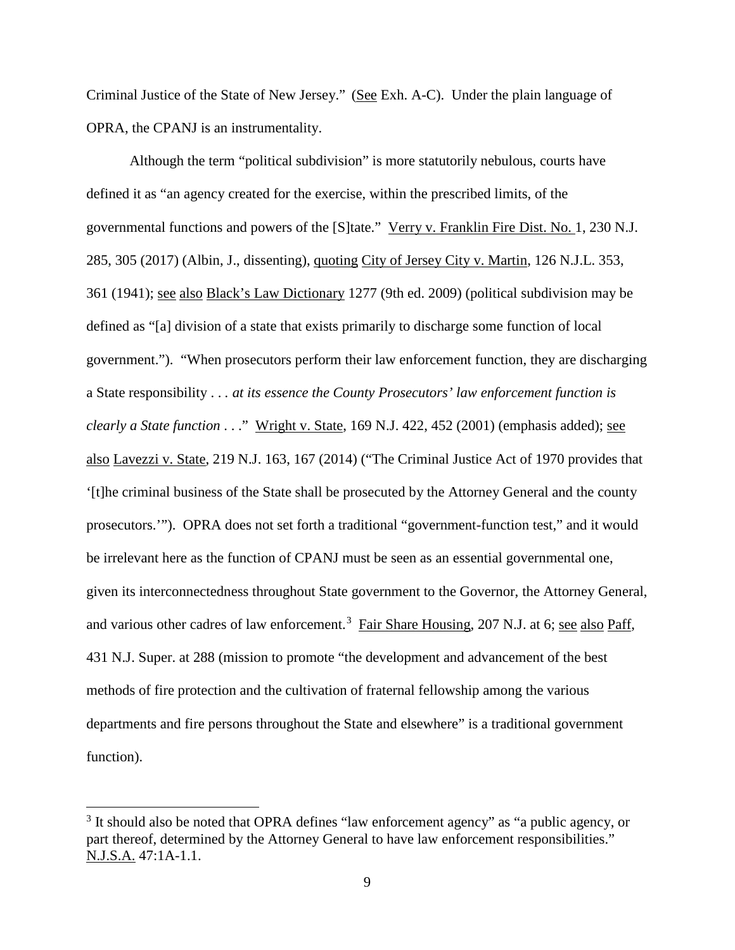Criminal Justice of the State of New Jersey." (See Exh. A-C). Under the plain language of OPRA, the CPANJ is an instrumentality.

Although the term "political subdivision" is more statutorily nebulous, courts have defined it as "an agency created for the exercise, within the prescribed limits, of the governmental functions and powers of the [S]tate." Verry v. Franklin Fire Dist. No. 1, 230 N.J. 285, 305 (2017) (Albin, J., dissenting), quoting City of Jersey City v. Martin, 126 N.J.L. 353, 361 (1941); see also Black's Law Dictionary 1277 (9th ed. 2009) (political subdivision may be defined as "[a] division of a state that exists primarily to discharge some function of local government."). "When prosecutors perform their law enforcement function, they are discharging a State responsibility . . *. at its essence the County Prosecutors' law enforcement function is clearly a State function* . . ." Wright v. State, 169 N.J. 422, 452 (2001) (emphasis added); see also Lavezzi v. State, 219 N.J. 163, 167 (2014) ("The Criminal Justice Act of 1970 provides that '[t]he criminal business of the State shall be prosecuted by the Attorney General and the county prosecutors.'"). OPRA does not set forth a traditional "government-function test," and it would be irrelevant here as the function of CPANJ must be seen as an essential governmental one, given its interconnectedness throughout State government to the Governor, the Attorney General, and various other cadres of law enforcement.<sup>[3](#page-13-0)</sup> Fair Share Housing, 207 N.J. at 6; see also Paff, 431 N.J. Super. at 288 (mission to promote "the development and advancement of the best methods of fire protection and the cultivation of fraternal fellowship among the various departments and fire persons throughout the State and elsewhere" is a traditional government function).

<span id="page-13-0"></span> $3$  It should also be noted that OPRA defines "law enforcement agency" as "a public agency, or part thereof, determined by the Attorney General to have law enforcement responsibilities." N.J.S.A. 47:1A-1.1.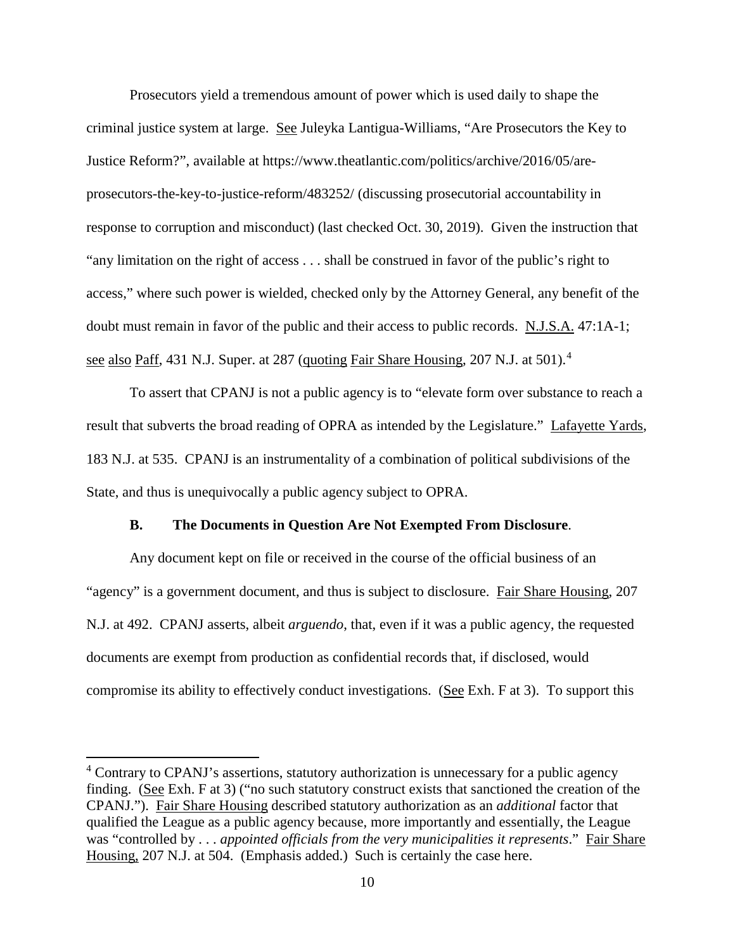Prosecutors yield a tremendous amount of power which is used daily to shape the criminal justice system at large. See Juleyka Lantigua-Williams, "Are Prosecutors the Key to Justice Reform?", available at https://www.theatlantic.com/politics/archive/2016/05/areprosecutors-the-key-to-justice-reform/483252/ (discussing prosecutorial accountability in response to corruption and misconduct) (last checked Oct. 30, 2019). Given the instruction that "any limitation on the right of access . . . shall be construed in favor of the public's right to access," where such power is wielded, checked only by the Attorney General, any benefit of the doubt must remain in favor of the public and their access to public records. N.J.S.A. 47:1A-1; see also Paff, [4](#page-14-0)31 N.J. Super. at 287 (quoting Fair Share Housing, 207 N.J. at 501).<sup>4</sup>

To assert that CPANJ is not a public agency is to "elevate form over substance to reach a result that subverts the broad reading of OPRA as intended by the Legislature." Lafayette Yards, 183 N.J. at 535. CPANJ is an instrumentality of a combination of political subdivisions of the State, and thus is unequivocally a public agency subject to OPRA.

### **B. The Documents in Question Are Not Exempted From Disclosure**.

Any document kept on file or received in the course of the official business of an "agency" is a government document, and thus is subject to disclosure. Fair Share Housing, 207 N.J. at 492. CPANJ asserts, albeit *arguendo*, that, even if it was a public agency, the requested documents are exempt from production as confidential records that, if disclosed, would compromise its ability to effectively conduct investigations. (See Exh. F at 3). To support this

<span id="page-14-0"></span><sup>&</sup>lt;sup>4</sup> Contrary to CPANJ's assertions, statutory authorization is unnecessary for a public agency finding. (See Exh. F at 3) ("no such statutory construct exists that sanctioned the creation of the CPANJ."). Fair Share Housing described statutory authorization as an *additional* factor that qualified the League as a public agency because, more importantly and essentially, the League was "controlled by . . . *appointed officials from the very municipalities it represents*." Fair Share Housing, 207 N.J. at 504. (Emphasis added.) Such is certainly the case here.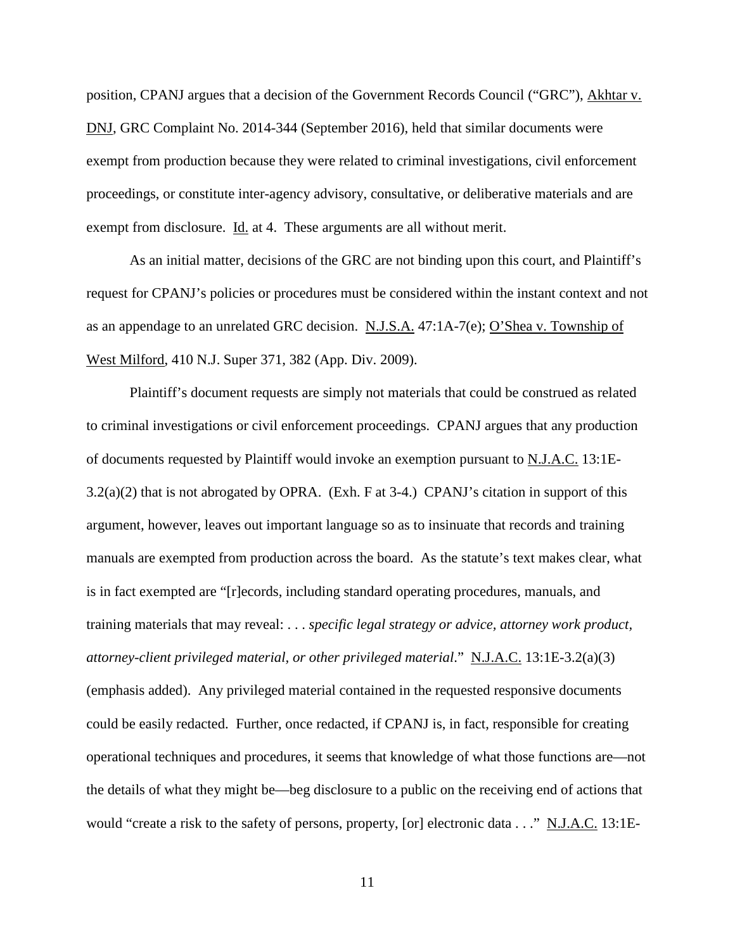position, CPANJ argues that a decision of the Government Records Council ("GRC"), Akhtar v. DNJ, GRC Complaint No. 2014-344 (September 2016), held that similar documents were exempt from production because they were related to criminal investigations, civil enforcement proceedings, or constitute inter-agency advisory, consultative, or deliberative materials and are exempt from disclosure. Id. at 4. These arguments are all without merit.

As an initial matter, decisions of the GRC are not binding upon this court, and Plaintiff's request for CPANJ's policies or procedures must be considered within the instant context and not as an appendage to an unrelated GRC decision. N.J.S.A. 47:1A-7(e); O'Shea v. Township of West Milford, 410 N.J. Super 371, 382 (App. Div. 2009).

Plaintiff's document requests are simply not materials that could be construed as related to criminal investigations or civil enforcement proceedings. CPANJ argues that any production of documents requested by Plaintiff would invoke an exemption pursuant to N.J.A.C. 13:1E-3.2(a)(2) that is not abrogated by OPRA. (Exh. F at 3-4.) CPANJ's citation in support of this argument, however, leaves out important language so as to insinuate that records and training manuals are exempted from production across the board. As the statute's text makes clear, what is in fact exempted are "[r]ecords, including standard operating procedures, manuals, and training materials that may reveal: . . . *specific legal strategy or advice, attorney work product, attorney-client privileged material, or other privileged material*." N.J.A.C. 13:1E-3.2(a)(3) (emphasis added). Any privileged material contained in the requested responsive documents could be easily redacted. Further, once redacted, if CPANJ is, in fact, responsible for creating operational techniques and procedures, it seems that knowledge of what those functions are—not the details of what they might be—beg disclosure to a public on the receiving end of actions that would "create a risk to the safety of persons, property, [or] electronic data . . ." N.J.A.C. 13:1E-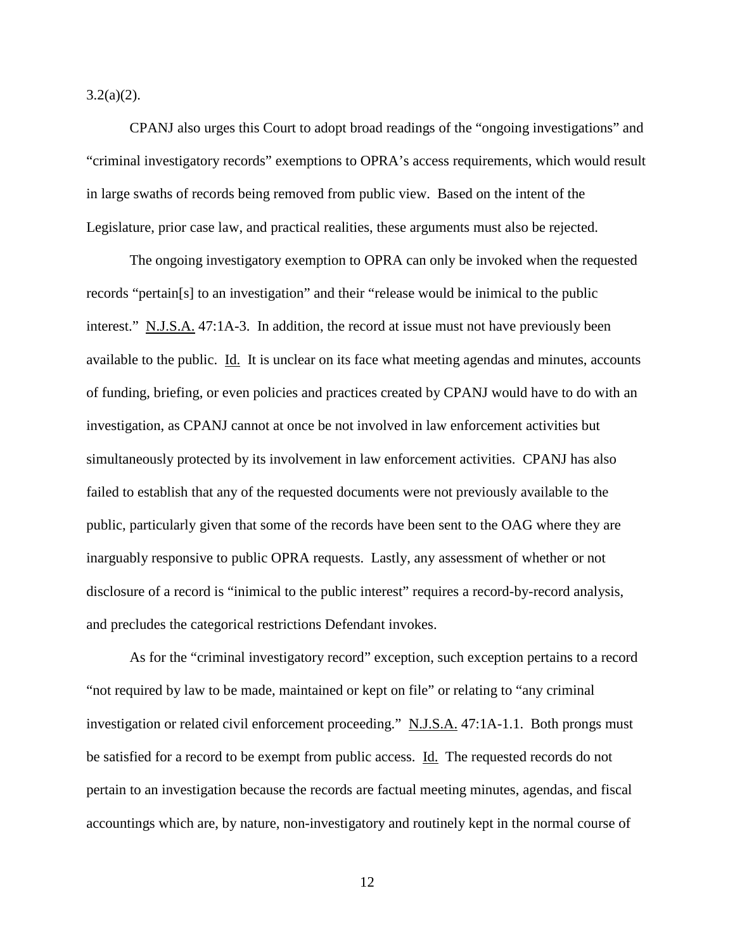$3.2(a)(2)$ .

CPANJ also urges this Court to adopt broad readings of the "ongoing investigations" and "criminal investigatory records" exemptions to OPRA's access requirements, which would result in large swaths of records being removed from public view. Based on the intent of the Legislature, prior case law, and practical realities, these arguments must also be rejected.

The ongoing investigatory exemption to OPRA can only be invoked when the requested records "pertain[s] to an investigation" and their "release would be inimical to the public interest." N.J.S.A. 47:1A-3. In addition, the record at issue must not have previously been available to the public. Id. It is unclear on its face what meeting agendas and minutes, accounts of funding, briefing, or even policies and practices created by CPANJ would have to do with an investigation, as CPANJ cannot at once be not involved in law enforcement activities but simultaneously protected by its involvement in law enforcement activities. CPANJ has also failed to establish that any of the requested documents were not previously available to the public, particularly given that some of the records have been sent to the OAG where they are inarguably responsive to public OPRA requests. Lastly, any assessment of whether or not disclosure of a record is "inimical to the public interest" requires a record-by-record analysis, and precludes the categorical restrictions Defendant invokes.

As for the "criminal investigatory record" exception, such exception pertains to a record "not required by law to be made, maintained or kept on file" or relating to "any criminal investigation or related civil enforcement proceeding." N.J.S.A. 47:1A-1.1. Both prongs must be satisfied for a record to be exempt from public access. Id. The requested records do not pertain to an investigation because the records are factual meeting minutes, agendas, and fiscal accountings which are, by nature, non-investigatory and routinely kept in the normal course of

12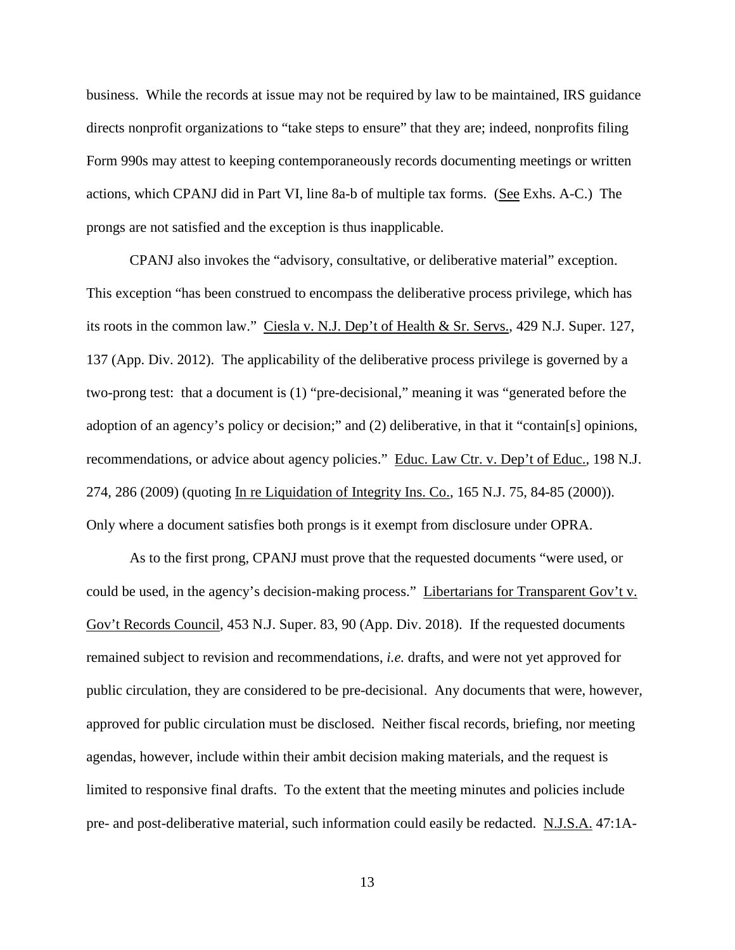business. While the records at issue may not be required by law to be maintained, IRS guidance directs nonprofit organizations to "take steps to ensure" that they are; indeed, nonprofits filing Form 990s may attest to keeping contemporaneously records documenting meetings or written actions, which CPANJ did in Part VI, line 8a-b of multiple tax forms. (See Exhs. A-C.) The prongs are not satisfied and the exception is thus inapplicable.

CPANJ also invokes the "advisory, consultative, or deliberative material" exception. This exception "has been construed to encompass the deliberative process privilege, which has its roots in the common law." Ciesla v. N.J. Dep't of Health & Sr. Servs., 429 N.J. Super. 127, 137 (App. Div. 2012). The applicability of the deliberative process privilege is governed by a two-prong test: that a document is (1) "pre-decisional," meaning it was "generated before the adoption of an agency's policy or decision;" and (2) deliberative, in that it "contain[s] opinions, recommendations, or advice about agency policies." Educ. Law Ctr. v. Dep't of Educ., 198 N.J. 274, 286 (2009) (quoting In re Liquidation of Integrity Ins. Co., 165 N.J. 75, 84-85 (2000)). Only where a document satisfies both prongs is it exempt from disclosure under OPRA.

As to the first prong, CPANJ must prove that the requested documents "were used, or could be used, in the agency's decision-making process." Libertarians for Transparent Gov't v. Gov't Records Council, 453 N.J. Super. 83, 90 (App. Div. 2018). If the requested documents remained subject to revision and recommendations, *i.e.* drafts, and were not yet approved for public circulation, they are considered to be pre-decisional. Any documents that were, however, approved for public circulation must be disclosed. Neither fiscal records, briefing, nor meeting agendas, however, include within their ambit decision making materials, and the request is limited to responsive final drafts. To the extent that the meeting minutes and policies include pre- and post-deliberative material, such information could easily be redacted. N.J.S.A. 47:1A-

13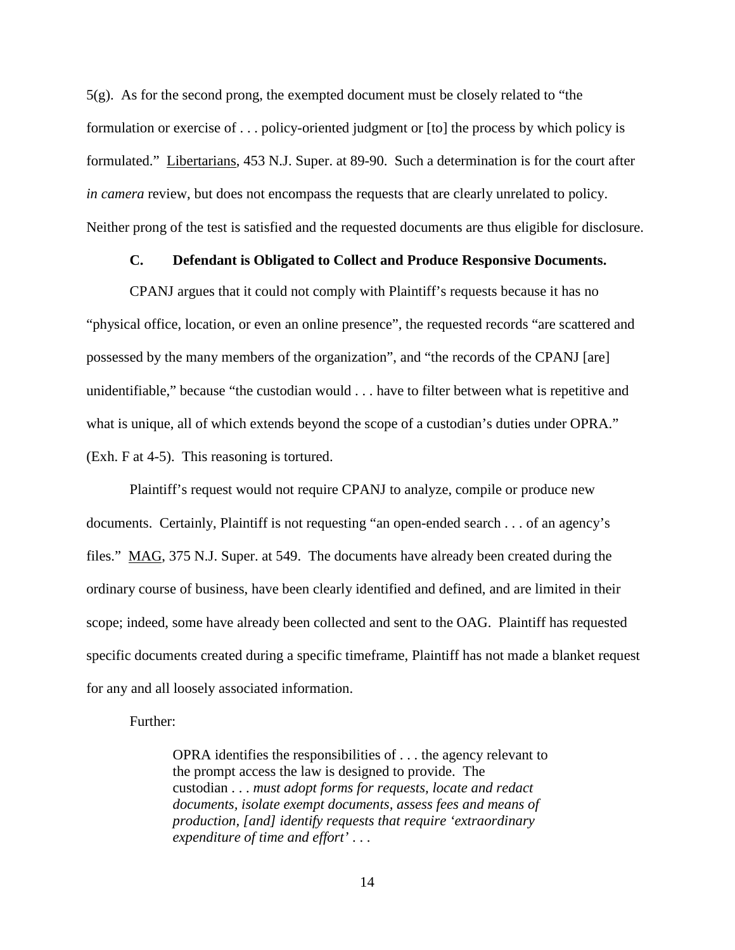5(g). As for the second prong, the exempted document must be closely related to "the formulation or exercise of . . . policy-oriented judgment or [to] the process by which policy is formulated." Libertarians, 453 N.J. Super. at 89-90. Such a determination is for the court after *in camera* review, but does not encompass the requests that are clearly unrelated to policy. Neither prong of the test is satisfied and the requested documents are thus eligible for disclosure.

## **C. Defendant is Obligated to Collect and Produce Responsive Documents.**

CPANJ argues that it could not comply with Plaintiff's requests because it has no "physical office, location, or even an online presence", the requested records "are scattered and possessed by the many members of the organization", and "the records of the CPANJ [are] unidentifiable," because "the custodian would . . . have to filter between what is repetitive and what is unique, all of which extends beyond the scope of a custodian's duties under OPRA." (Exh. F at 4-5). This reasoning is tortured.

Plaintiff's request would not require CPANJ to analyze, compile or produce new documents. Certainly, Plaintiff is not requesting "an open-ended search . . . of an agency's files." MAG, 375 N.J. Super. at 549. The documents have already been created during the ordinary course of business, have been clearly identified and defined, and are limited in their scope; indeed, some have already been collected and sent to the OAG. Plaintiff has requested specific documents created during a specific timeframe, Plaintiff has not made a blanket request for any and all loosely associated information.

### Further:

OPRA identifies the responsibilities of . . . the agency relevant to the prompt access the law is designed to provide. The custodian . . . *must adopt forms for requests, locate and redact documents, isolate exempt documents, assess fees and means of production, [and] identify requests that require 'extraordinary expenditure of time and effort'* . . .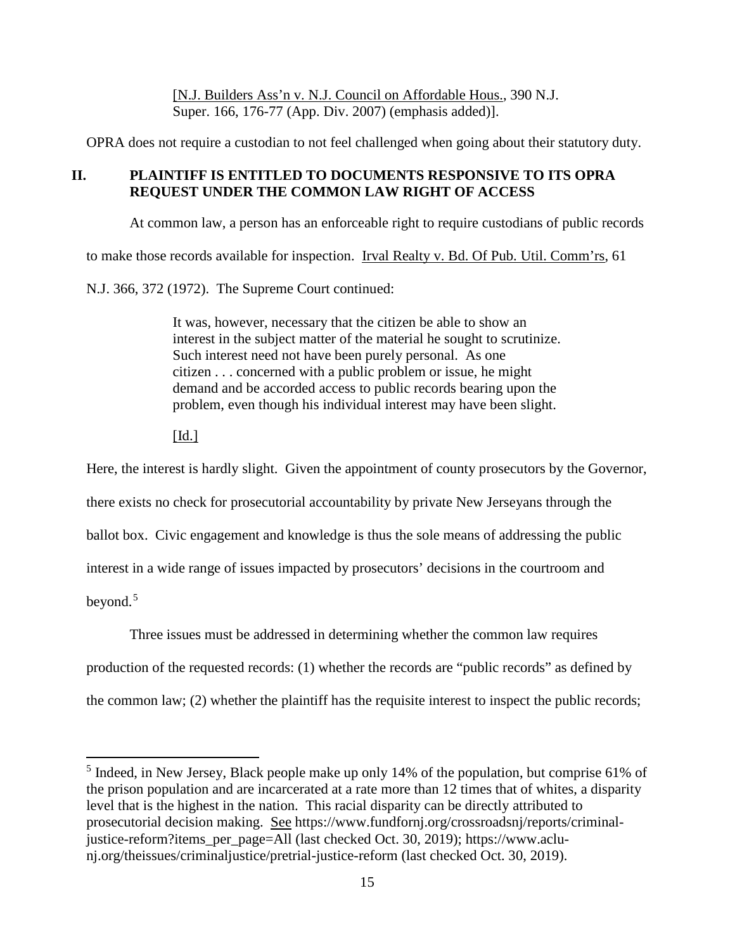[N.J. Builders Ass'n v. N.J. Council on Affordable Hous., 390 N.J. Super. 166, 176-77 (App. Div. 2007) (emphasis added)].

OPRA does not require a custodian to not feel challenged when going about their statutory duty.

# **II. PLAINTIFF IS ENTITLED TO DOCUMENTS RESPONSIVE TO ITS OPRA REQUEST UNDER THE COMMON LAW RIGHT OF ACCESS**

At common law, a person has an enforceable right to require custodians of public records

to make those records available for inspection. Irval Realty v. Bd. Of Pub. Util. Comm'rs, 61

N.J. 366, 372 (1972). The Supreme Court continued:

It was, however, necessary that the citizen be able to show an interest in the subject matter of the material he sought to scrutinize. Such interest need not have been purely personal. As one citizen . . . concerned with a public problem or issue, he might demand and be accorded access to public records bearing upon the problem, even though his individual interest may have been slight.

 $\lceil$ Id.]

Here, the interest is hardly slight. Given the appointment of county prosecutors by the Governor, there exists no check for prosecutorial accountability by private New Jerseyans through the ballot box. Civic engagement and knowledge is thus the sole means of addressing the public interest in a wide range of issues impacted by prosecutors' decisions in the courtroom and beyond. [5](#page-19-0)

Three issues must be addressed in determining whether the common law requires production of the requested records: (1) whether the records are "public records" as defined by the common law; (2) whether the plaintiff has the requisite interest to inspect the public records;

<span id="page-19-0"></span> <sup>5</sup> Indeed, in New Jersey, Black people make up only 14% of the population, but comprise 61% of the prison population and are incarcerated at a rate more than 12 times that of whites, a disparity level that is the highest in the nation. This racial disparity can be directly attributed to prosecutorial decision making. See https://www.fundfornj.org/crossroadsnj/reports/criminaljustice-reform?items\_per\_page=All (last checked Oct. 30, 2019); https://www.aclunj.org/theissues/criminaljustice/pretrial-justice-reform (last checked Oct. 30, 2019).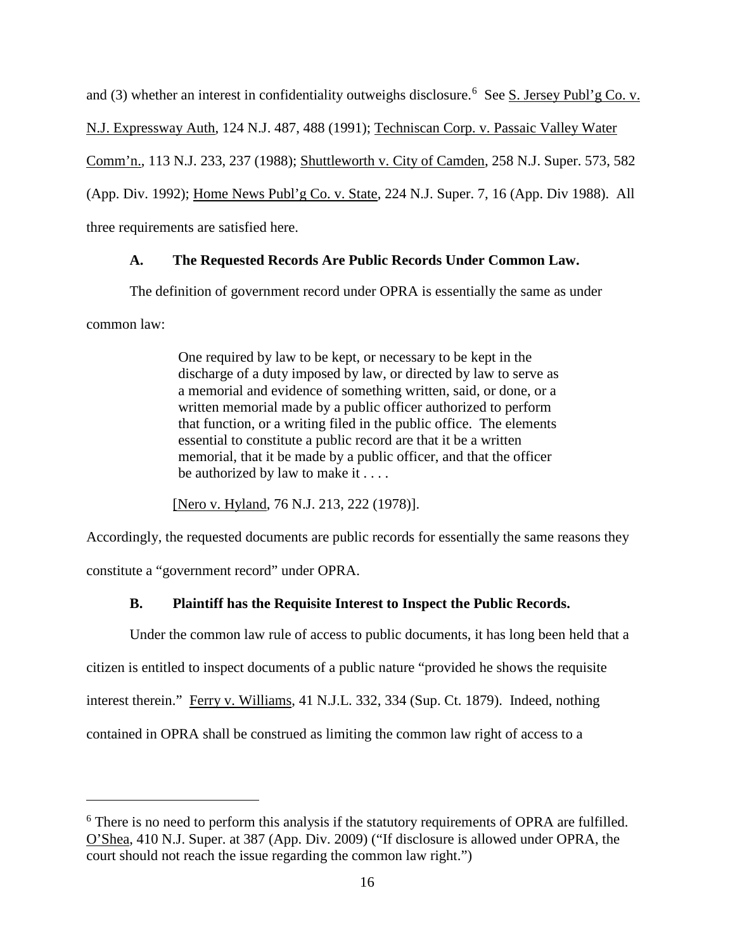and (3) whether an interest in confidentiality outweighs disclosure.<sup>[6](#page-20-0)</sup> See S. Jersey Publ'g Co. v. N.J. Expressway Auth, 124 N.J. 487, 488 (1991); Techniscan Corp. v. Passaic Valley Water Comm'n., 113 N.J. 233, 237 (1988); Shuttleworth v. City of Camden, 258 N.J. Super. 573, 582 (App. Div. 1992); Home News Publ'g Co. v. State, 224 N.J. Super. 7, 16 (App. Div 1988). All three requirements are satisfied here.

## **A. The Requested Records Are Public Records Under Common Law.**

The definition of government record under OPRA is essentially the same as under common law:

> One required by law to be kept, or necessary to be kept in the discharge of a duty imposed by law, or directed by law to serve as a memorial and evidence of something written, said, or done, or a written memorial made by a public officer authorized to perform that function, or a writing filed in the public office. The elements essential to constitute a public record are that it be a written memorial, that it be made by a public officer, and that the officer be authorized by law to make it . . . .

[Nero v. Hyland, 76 N.J. 213, 222 (1978)].

 $\overline{a}$ 

Accordingly, the requested documents are public records for essentially the same reasons they constitute a "government record" under OPRA.

## **B. Plaintiff has the Requisite Interest to Inspect the Public Records.**

Under the common law rule of access to public documents, it has long been held that a citizen is entitled to inspect documents of a public nature "provided he shows the requisite interest therein." Ferry v. Williams, 41 N.J.L. 332, 334 (Sup. Ct. 1879). Indeed, nothing contained in OPRA shall be construed as limiting the common law right of access to a

<span id="page-20-0"></span><sup>&</sup>lt;sup>6</sup> There is no need to perform this analysis if the statutory requirements of OPRA are fulfilled. O'Shea, 410 N.J. Super. at 387 (App. Div. 2009) ("If disclosure is allowed under OPRA, the court should not reach the issue regarding the common law right.")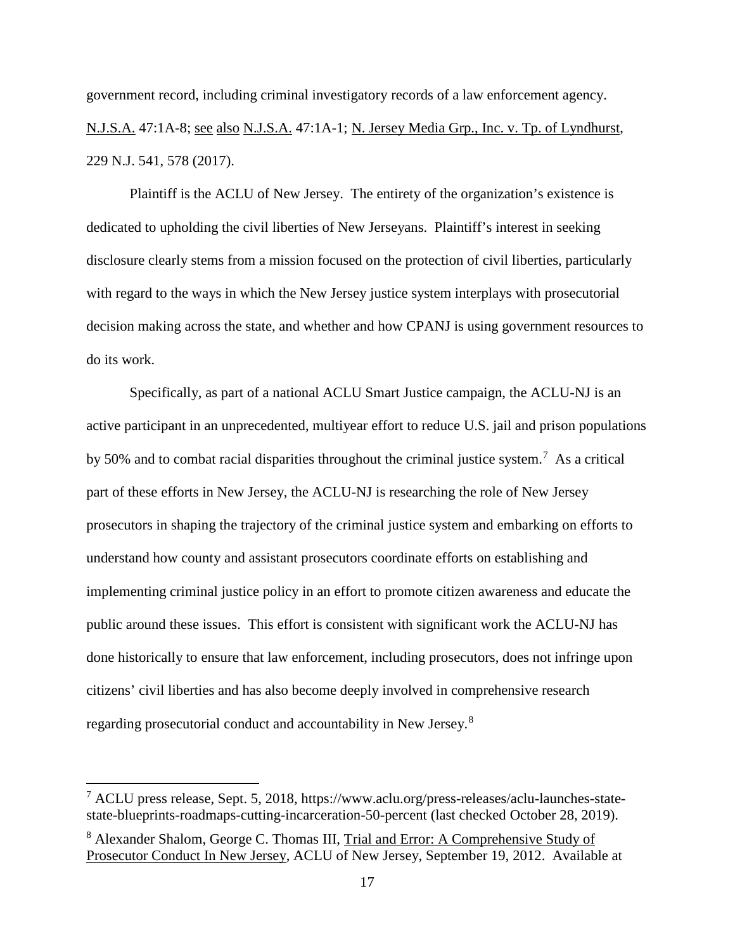government record, including criminal investigatory records of a law enforcement agency. N.J.S.A. 47:1A-8; see also N.J.S.A. 47:1A-1; N. Jersey Media Grp., Inc. v. Tp. of Lyndhurst, 229 N.J. 541, 578 (2017).

Plaintiff is the ACLU of New Jersey. The entirety of the organization's existence is dedicated to upholding the civil liberties of New Jerseyans. Plaintiff's interest in seeking disclosure clearly stems from a mission focused on the protection of civil liberties, particularly with regard to the ways in which the New Jersey justice system interplays with prosecutorial decision making across the state, and whether and how CPANJ is using government resources to do its work.

Specifically, as part of a national ACLU Smart Justice campaign, the ACLU-NJ is an active participant in an unprecedented, multiyear effort to reduce U.S. jail and prison populations by 50% and to combat racial disparities throughout the criminal justice system.<sup>[7](#page-21-0)</sup> As a critical part of these efforts in New Jersey, the ACLU-NJ is researching the role of New Jersey prosecutors in shaping the trajectory of the criminal justice system and embarking on efforts to understand how county and assistant prosecutors coordinate efforts on establishing and implementing criminal justice policy in an effort to promote citizen awareness and educate the public around these issues. This effort is consistent with significant work the ACLU-NJ has done historically to ensure that law enforcement, including prosecutors, does not infringe upon citizens' civil liberties and has also become deeply involved in comprehensive research regarding prosecutorial conduct and accountability in New Jersey.[8](#page-21-1)

<span id="page-21-0"></span> <sup>7</sup> ACLU press release, Sept. 5, 2018, https://www.aclu.org/press-releases/aclu-launches-statestate-blueprints-roadmaps-cutting-incarceration-50-percent (last checked October 28, 2019).

<span id="page-21-1"></span><sup>8</sup> Alexander Shalom, George C. Thomas III, Trial and Error: A Comprehensive Study of Prosecutor Conduct In New Jersey, ACLU of New Jersey, September 19, 2012. Available at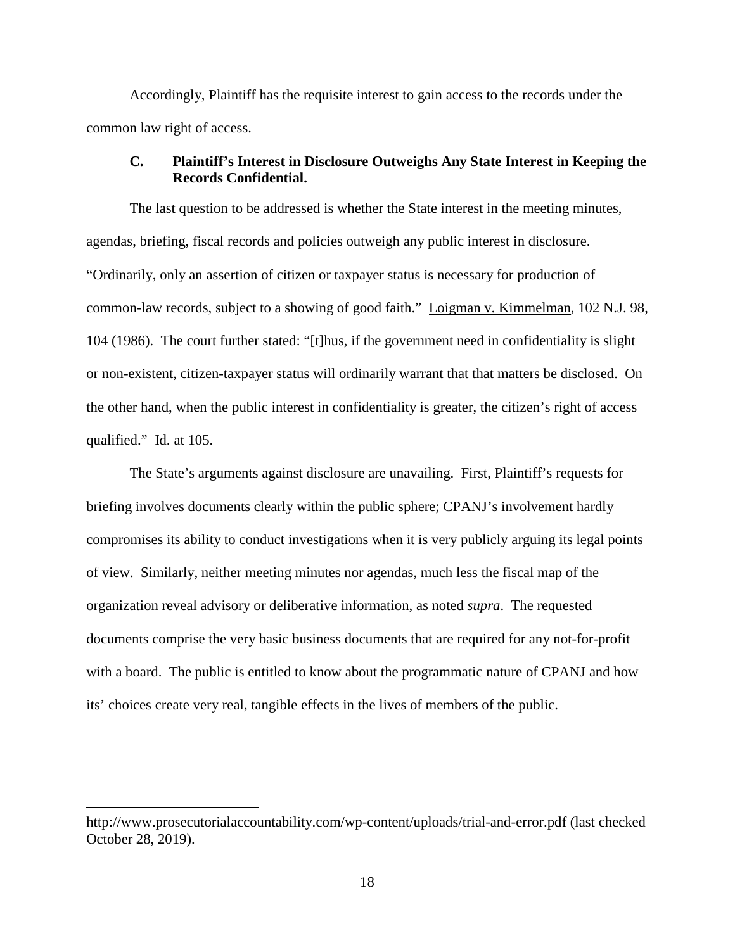Accordingly, Plaintiff has the requisite interest to gain access to the records under the common law right of access.

## **C. Plaintiff's Interest in Disclosure Outweighs Any State Interest in Keeping the Records Confidential.**

The last question to be addressed is whether the State interest in the meeting minutes, agendas, briefing, fiscal records and policies outweigh any public interest in disclosure. "Ordinarily, only an assertion of citizen or taxpayer status is necessary for production of common-law records, subject to a showing of good faith." Loigman v. Kimmelman, 102 N.J. 98, 104 (1986). The court further stated: "[t]hus, if the government need in confidentiality is slight or non-existent, citizen-taxpayer status will ordinarily warrant that that matters be disclosed. On the other hand, when the public interest in confidentiality is greater, the citizen's right of access qualified." Id. at 105.

The State's arguments against disclosure are unavailing. First, Plaintiff's requests for briefing involves documents clearly within the public sphere; CPANJ's involvement hardly compromises its ability to conduct investigations when it is very publicly arguing its legal points of view. Similarly, neither meeting minutes nor agendas, much less the fiscal map of the organization reveal advisory or deliberative information, as noted *supra*. The requested documents comprise the very basic business documents that are required for any not-for-profit with a board. The public is entitled to know about the programmatic nature of CPANJ and how its' choices create very real, tangible effects in the lives of members of the public.

 $\overline{a}$ 

http://www.prosecutorialaccountability.com/wp-content/uploads/trial-and-error.pdf (last checked October 28, 2019).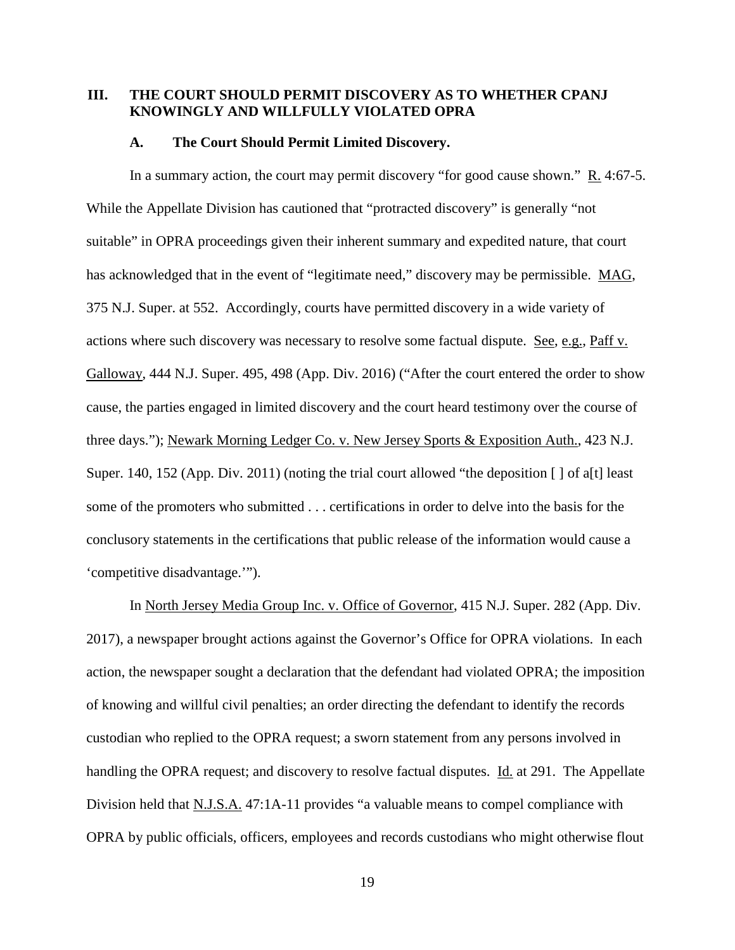## **III. THE COURT SHOULD PERMIT DISCOVERY AS TO WHETHER CPANJ KNOWINGLY AND WILLFULLY VIOLATED OPRA**

#### **A. The Court Should Permit Limited Discovery.**

In a summary action, the court may permit discovery "for good cause shown." R. 4:67-5. While the Appellate Division has cautioned that "protracted discovery" is generally "not suitable" in OPRA proceedings given their inherent summary and expedited nature, that court has acknowledged that in the event of "legitimate need," discovery may be permissible. MAG, 375 N.J. Super. at 552. Accordingly, courts have permitted discovery in a wide variety of actions where such discovery was necessary to resolve some factual dispute. See, e.g., Paff v. Galloway, 444 N.J. Super. 495, 498 (App. Div. 2016) ("After the court entered the order to show cause, the parties engaged in limited discovery and the court heard testimony over the course of three days."); Newark Morning Ledger Co. v. New Jersey Sports & Exposition Auth., 423 N.J. Super. 140, 152 (App. Div. 2011) (noting the trial court allowed "the deposition  $\lceil \cdot \rceil$  of a[t] least some of the promoters who submitted . . . certifications in order to delve into the basis for the conclusory statements in the certifications that public release of the information would cause a 'competitive disadvantage.'").

In North Jersey Media Group Inc. v. Office of Governor, 415 N.J. Super. 282 (App. Div. 2017), a newspaper brought actions against the Governor's Office for OPRA violations. In each action, the newspaper sought a declaration that the defendant had violated OPRA; the imposition of knowing and willful civil penalties; an order directing the defendant to identify the records custodian who replied to the OPRA request; a sworn statement from any persons involved in handling the OPRA request; and discovery to resolve factual disputes. Id. at 291. The Appellate Division held that N.J.S.A. 47:1A-11 provides "a valuable means to compel compliance with OPRA by public officials, officers, employees and records custodians who might otherwise flout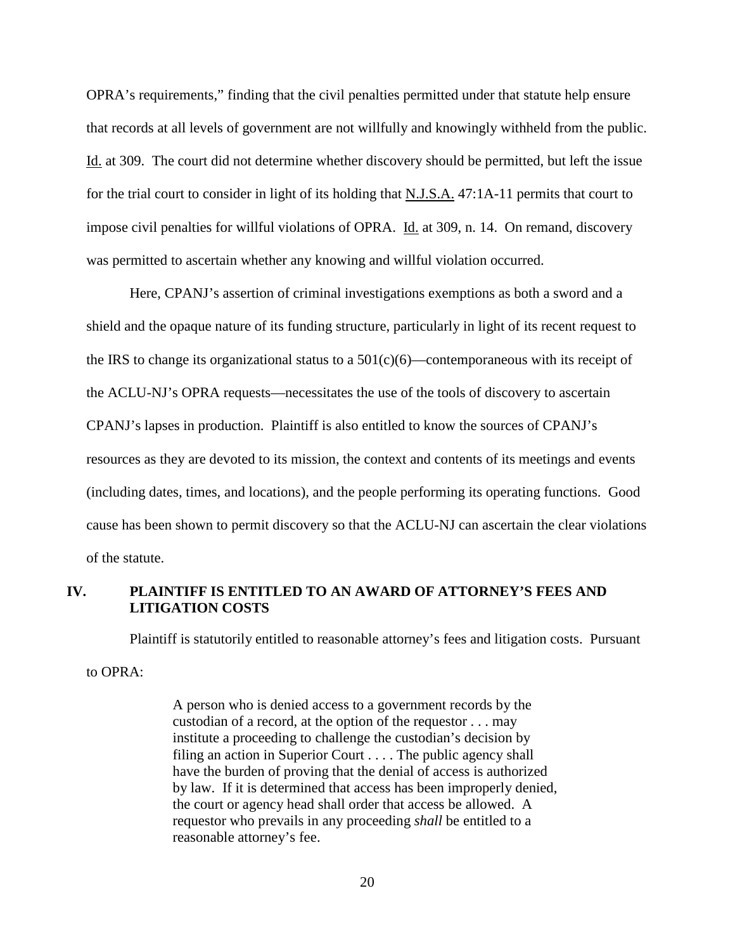OPRA's requirements," finding that the civil penalties permitted under that statute help ensure that records at all levels of government are not willfully and knowingly withheld from the public. Id. at 309. The court did not determine whether discovery should be permitted, but left the issue for the trial court to consider in light of its holding that N.J.S.A. 47:1A-11 permits that court to impose civil penalties for willful violations of OPRA. Id. at 309, n. 14. On remand, discovery was permitted to ascertain whether any knowing and willful violation occurred.

Here, CPANJ's assertion of criminal investigations exemptions as both a sword and a shield and the opaque nature of its funding structure, particularly in light of its recent request to the IRS to change its organizational status to a  $501(c)(6)$ —contemporaneous with its receipt of the ACLU-NJ's OPRA requests—necessitates the use of the tools of discovery to ascertain CPANJ's lapses in production. Plaintiff is also entitled to know the sources of CPANJ's resources as they are devoted to its mission, the context and contents of its meetings and events (including dates, times, and locations), and the people performing its operating functions. Good cause has been shown to permit discovery so that the ACLU-NJ can ascertain the clear violations of the statute.

### **IV. PLAINTIFF IS ENTITLED TO AN AWARD OF ATTORNEY'S FEES AND LITIGATION COSTS**

Plaintiff is statutorily entitled to reasonable attorney's fees and litigation costs. Pursuant

to OPRA:

A person who is denied access to a government records by the custodian of a record, at the option of the requestor . . . may institute a proceeding to challenge the custodian's decision by filing an action in Superior Court . . . . The public agency shall have the burden of proving that the denial of access is authorized by law. If it is determined that access has been improperly denied, the court or agency head shall order that access be allowed. A requestor who prevails in any proceeding *shall* be entitled to a reasonable attorney's fee.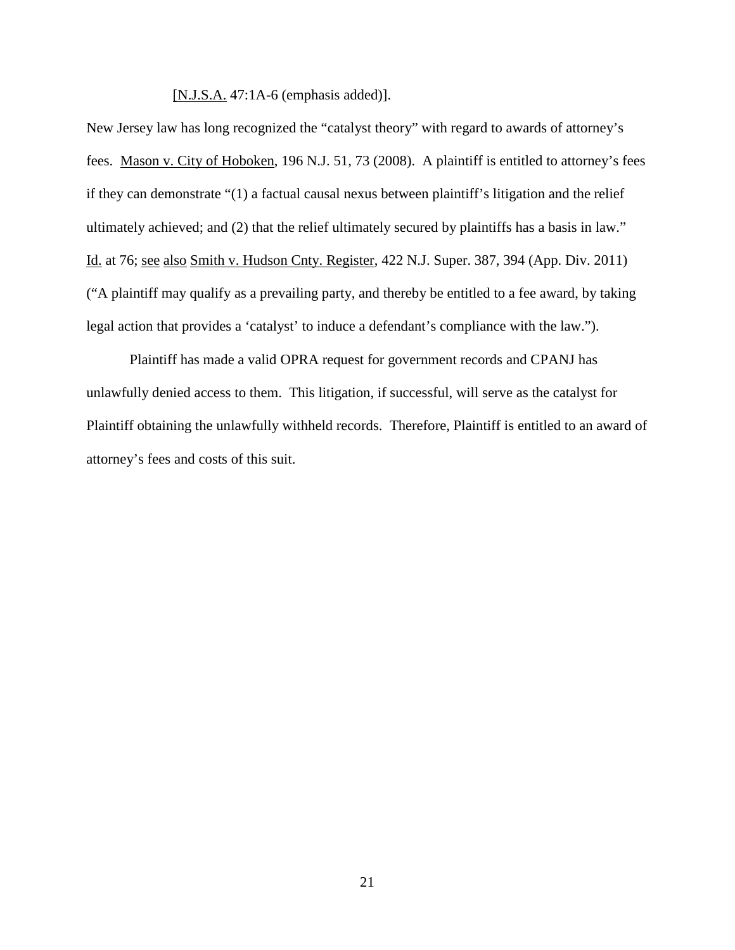[N.J.S.A. 47:1A-6 (emphasis added)].

New Jersey law has long recognized the "catalyst theory" with regard to awards of attorney's fees. Mason v. City of Hoboken, 196 N.J. 51, 73 (2008). A plaintiff is entitled to attorney's fees if they can demonstrate "(1) a factual causal nexus between plaintiff's litigation and the relief ultimately achieved; and (2) that the relief ultimately secured by plaintiffs has a basis in law." Id. at 76; see also Smith v. Hudson Cnty. Register, 422 N.J. Super. 387, 394 (App. Div. 2011) ("A plaintiff may qualify as a prevailing party, and thereby be entitled to a fee award, by taking legal action that provides a 'catalyst' to induce a defendant's compliance with the law.").

Plaintiff has made a valid OPRA request for government records and CPANJ has unlawfully denied access to them. This litigation, if successful, will serve as the catalyst for Plaintiff obtaining the unlawfully withheld records. Therefore, Plaintiff is entitled to an award of attorney's fees and costs of this suit.